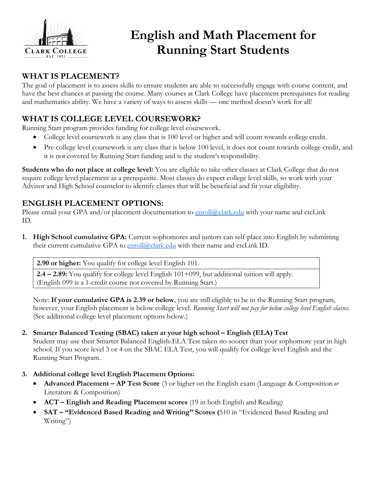

# **English and Math Placement for Running Start Students**

## **WHAT IS PLACEMENT?**

The goal of placement is to assess skills to ensure students are able to successfully engage with course content, and have the best chances at passing the course. Many courses at Clark College have placement prerequisites for reading and mathematics ability. We have a variety of ways to assess skills — one method doesn't work for all!

# **WHAT IS COLLEGE LEVEL COURSEWORK?**

Running Start program provides funding for college level coursework.

- College level coursework is any class that is 100 level or higher and will count towards college credit.
- Pre-college level coursework is any class that is below 100 level, it does not count towards college credit, and it is not covered by Running Start funding and is the student's responsibility.

**Students who do not place at college level:** You are eligible to take other classes at Clark College that do not require college level placement as a prerequisite. Most classes do expect college level skills, so work with your Advisor and High School counselor to identify classes that will be beneficial and fit your eligibility.

## **ENGLISH PLACEMENT OPTIONS:**

Please email your GPA and/or placement documentation to [enroll@clark.edu](mailto:runningstart@clark.edu) with your name and ctcLink ID.

**1. High School cumulative GPA:** Current sophomores and juniors can self-place into English by submitting their current cumulative GPA to [enroll@clark.edu](mailto:runningstart@clark.edu) with their name and ctcLink ID.

**2.90 or higher:** You qualify for college level English 101.

**2.4 – 2.89:** You qualify for college level English 101+099, but additional tuition will apply. (English 099 is a 1-credit course not covered by Running Start.)

Note: **If your cumulative GPA is 2.39 or below**, you are still eligible to be in the Running Start program, however, your English placement is below college level. *Running Start will not pay for below college level English classes.* (See additional college level placement options below.)

### **2. Smarter Balanced Testing (SBAC) taken at your high school – English (ELA) Test**

Student may use their Smarter Balanced English-ELA Test taken no sooner than your sophomore year in high school. If you score level 3 or 4 on the SBAC ELA Test, you will qualify for college level English and the Running Start Program.

- **3. Additional college level English Placement Options:**
	- **Advanced Placement – AP Test Score** (3 or higher on the English exam (Language & Composition *or* Literature & Composition)
	- **ACT – English and Reading Placement scores** (19 in both English and Reading)
	- **SAT – "Evidenced Based Reading and Writing" Scores (**510 in "Evidenced Based Reading and Writing")